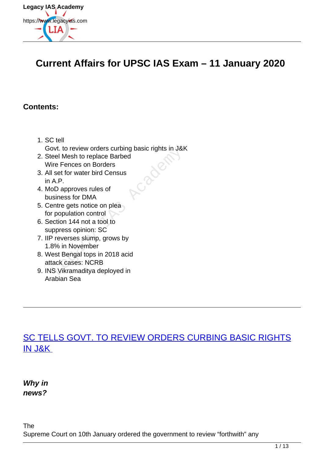

# **Current Affairs for UPSC IAS Exam – 11 January 2020**

#### **Contents:**

- 1. SC tell Govt. to review orders curbing basic rights in J&K
- 2. Steel Mesh to replace Barbed Wire Fences on Borders
- 3. All set for water bird Census in A.P.
- 4. MoD approves rules of business for DMA
- 5. Centre gets notice on plea for population control
- 6. Section 144 not a tool to suppress opinion: SC
- 7. IIP reverses slump, grows by 1.8% in November
- 8. West Bengal tops in 2018 acid attack cases: NCRB byt. to review orders curbing basic rights in Jack<br>eel Mesh to replace Barbed<br>ire Fences on Borders<br>set for water bird Census<br>A.P.<br>DD approves rules of<br>siness for DMA<br>entre gets notice on plea<br>population control<br>ection 144
- 9. INS Vikramaditya deployed in Arabian Sea

# [SC TELLS GOVT. TO REVIEW ORDERS CURBING BASIC RIGHTS](https://www.legacyias.com/supreme-court-tells-government-to-review-orders-curbing-basic-rights-in-jk/) [IN J&K](https://www.legacyias.com/supreme-court-tells-government-to-review-orders-curbing-basic-rights-in-jk/)

**Why in news?**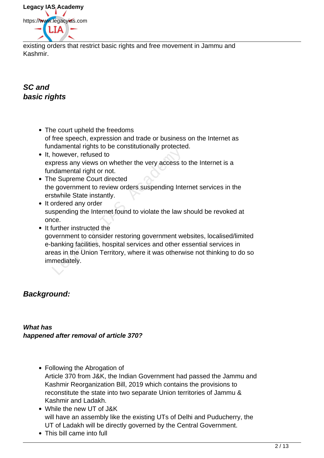**Legacy IAS Academy** https://www.legacyias.com

existing orders that restrict basic rights and free movement in Jammu and Kashmir.

## **SC and basic rights**

- The court upheld the freedoms of free speech, expression and trade or business on the Internet as fundamental rights to be constitutionally protected.
- It, however, refused to express any views on whether the very access to the Internet is a fundamental right or not.
- The Supreme Court directed the government to review orders suspending Internet services in the erstwhile State instantly.
- It ordered any order suspending the Internet found to violate the law should be revoked at once.
- It further instructed the government to consider restoring government websites, localised/limited e-banking facilities, hospital services and other essential services in areas in the Union Territory, where it was otherwise not thinking to do so immediately. Hamman rights to be constraintentary protected<br>however, refused to<br>press any views on whether the very access to<br>ndamental right or not.<br>The Supreme Court directed<br>a government to review orders suspending Inte<br>stwhile Stat

## **Background:**

**What has happened after removal of article 370?**

- Following the Abrogation of Article 370 from J&K, the Indian Government had passed the Jammu and Kashmir Reorganization Bill, 2019 which contains the provisions to reconstitute the state into two separate Union territories of Jammu & Kashmir and Ladakh.
- While the new UT of J&K will have an assembly like the existing UTs of Delhi and Puducherry, the UT of Ladakh will be directly governed by the Central Government.
- This bill came into full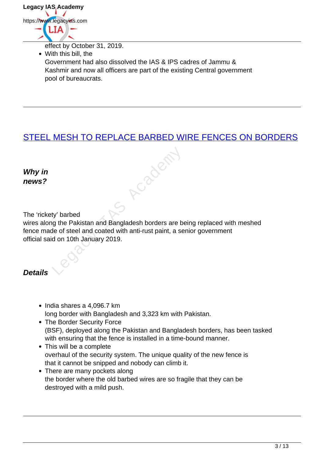

effect by October 31, 2019.

With this bill, the Government had also dissolved the IAS & IPS cadres of Jammu & Kashmir and now all officers are part of the existing Central government pool of bureaucrats.

## STEEL MESH TO REPLACE BARBED WIRE FENCES ON BORDERS

Cabach

**Why in news?**

The 'rickety' barbed

wires along the Pakistan and Bangladesh borders are being replaced with meshed fence made of steel and coated with anti-rust paint, a senior government official said on 10th January 2019.

#### **Details**

- India shares a 4,096.7 km long border with Bangladesh and 3,323 km with Pakistan.
- The Border Security Force (BSF), deployed along the Pakistan and Bangladesh borders, has been tasked with ensuring that the fence is installed in a time-bound manner.
- This will be a complete overhaul of the security system. The unique quality of the new fence is that it cannot be snipped and nobody can climb it.
- There are many pockets along the border where the old barbed wires are so fragile that they can be destroyed with a mild push.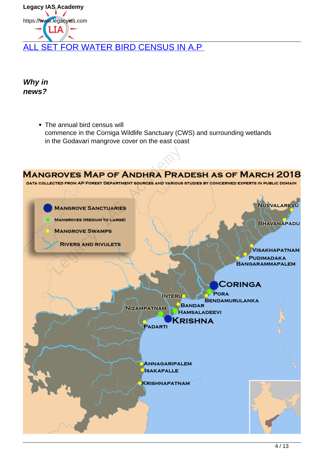Legacy IAS Academy https://www.legacyias.com 1 T A ALL SET FOR WATER BIRD CENSUS IN A.P

**Why in news?**

> • The annual bird census will commence in the Corniga Wildlife Sanctuary (CWS) and surrounding wetlands in the Godavari mangrove cover on the east coast

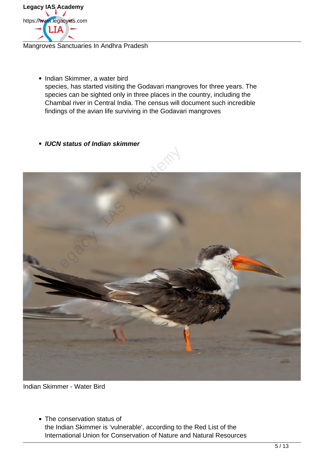

Mangroves Sanctuaries In Andhra Pradesh

- Indian Skimmer, a water bird species, has started visiting the Godavari mangroves for three years. The species can be sighted only in three places in the country, including the Chambal river in Central India. The census will document such incredible findings of the avian life surviving in the Godavari mangroves
- **IUCN status of Indian skimmer**



Indian Skimmer - Water Bird

• The conservation status of the Indian Skimmer is 'vulnerable', according to the Red List of the International Union for Conservation of Nature and Natural Resources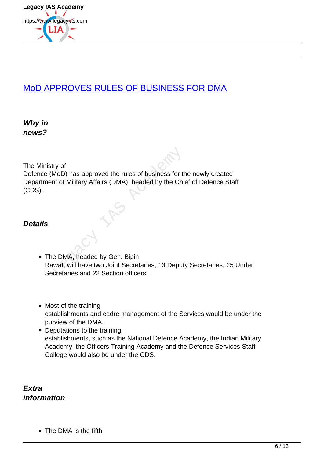

# MoD APPROVES RULES OF BUSINESS FOR DMA

**Why in news?**

The Ministry of

Defence (MoD) has approved the rules of business for the newly created Department of Military Affairs (DMA), headed by the Chief of Defence Staff (CDS). try of<br>MoD) has approved the rules of business for the<br>Int of Military Affairs (DMA), headed by the Chine<br>Regacy of the Chine<br>Regacy Correct in the UMA, headed by Gen. Bipin<br>Next, will have two Joint Secretaries, 13 Deput<br>

#### **Details**

- The DMA, headed by Gen. Bipin Rawat, will have two Joint Secretaries, 13 Deputy Secretaries, 25 Under Secretaries and 22 Section officers
- Most of the training establishments and cadre management of the Services would be under the purview of the DMA.
- Deputations to the training establishments, such as the National Defence Academy, the Indian Military Academy, the Officers Training Academy and the Defence Services Staff College would also be under the CDS.

**Extra information**

• The DMA is the fifth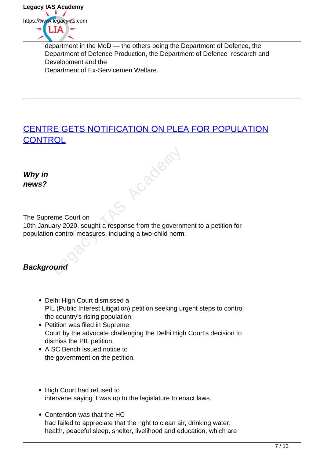

department in the MoD — the others being the Department of Defence, the Department of Defence Production, the Department of Defence research and Development and the Department of Ex-Servicemen Welfare.

# CENTRE GETS NOTIFICATION ON PLEA FOR POPULATION **CONTROL** Proposent

**Why in news?**

The Supreme Court on

10th January 2020, sought a response from the government to a petition for population control measures, including a two-child norm.

# **Background**

- Delhi High Court dismissed a PIL (Public Interest Litigation) petition seeking urgent steps to control the country's rising population.
- Petition was filed in Supreme Court by the advocate challenging the Delhi High Court's decision to dismiss the PIL petition.
- A SC Bench issued notice to the government on the petition.
- High Court had refused to intervene saying it was up to the legislature to enact laws.
- Contention was that the HC had failed to appreciate that the right to clean air, drinking water, health, peaceful sleep, shelter, livelihood and education, which are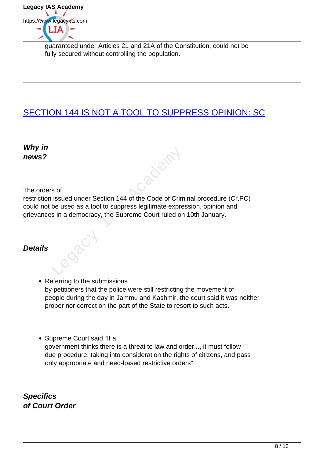

guaranteed under Articles 21 and 21A of the Constitution, could not be fully secured without controlling the population.

# SECTION 144 IS NOT A TOOL TO SUPPRESS OPINION: SC

**Why in news?**

The orders of

restriction issued under Section 144 of the Code of Criminal procedure (Cr.PC) could not be used as a tool to suppress legitimate expression, opinion and grievances in a democracy, the Supreme Court ruled on 10th January. s of<br>issued under Section 144 of the Code of Crim<br>be used as a tool to suppress legitimate expre<br>s in a democracy, the Supreme Court ruled on

### **Details**

- Referring to the submissions by petitioners that the police were still restricting the movement of people during the day in Jammu and Kashmir, the court said it was neither proper nor correct on the part of the State to resort to such acts.
- Supreme Court said "If a government thinks there is a threat to law and order..., it must follow due procedure, taking into consideration the rights of citizens, and pass only appropriate and need-based restrictive orders"

**Specifics of Court Order**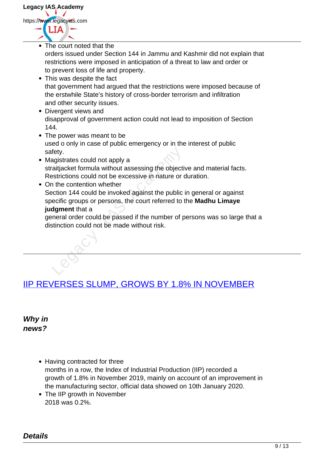**Legacy IAS Academy** https://www.legacyias.com

- The court noted that the orders issued under Section 144 in Jammu and Kashmir did not explain that restrictions were imposed in anticipation of a threat to law and order or to prevent loss of life and property. This was despite the fact that government had argued that the restrictions were imposed because of the erstwhile State's history of cross-border terrorism and infiltration and other security issues. Divergent views and disapproval of government action could not lead to imposition of Section 144. • The power was meant to be used o only in case of public emergency or in the interest of public safety. • Magistrates could not apply a straitjacket formula without assessing the objective and material facts.
	- Restrictions could not be excessive in nature or duration. • On the contention whether
- Section 144 could be invoked against the public in general or against specific groups or persons, the court referred to the **Madhu Limaye judgment** that a Fety.<br>
Analysistrates could not apply a<br>
Acaitjacket formula without assessing the objective<br>
Strictions could not be excessive in nature or contraction<br>
144 could be invoked against the public<br>
ecific groups or persons, t

general order could be passed if the number of persons was so large that a distinction could not be made without risk.

# IIP REVERSES SLUMP, GROWS BY 1.8% IN NOVEMBER

**Why in news?**

- Having contracted for three months in a row, the Index of Industrial Production (IIP) recorded a growth of 1.8% in November 2019, mainly on account of an improvement in the manufacturing sector, official data showed on 10th January 2020.
- The IIP growth in November 2018 was 0.2%.

**Details**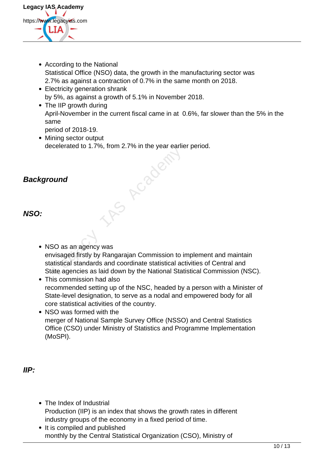

- According to the National Statistical Office (NSO) data, the growth in the manufacturing sector was 2.7% as against a contraction of 0.7% in the same month on 2018.
- Electricity generation shrank by 5%, as against a growth of 5.1% in November 2018.
- The IIP growth during April-November in the current fiscal came in at 0.6%, far slower than the 5% in the same
	- period of 2018-19.
- Mining sector output decelerated to 1.7%, from 2.7% in the year earlier period.

## **Background**

#### **NSO:**

• NSO as an agency was envisaged firstly by Rangarajan Commission to implement and maintain statistical standards and coordinate statistical activities of Central and State agencies as laid down by the National Statistical Commission (NSC).

Proceded

- This commission had also recommended setting up of the NSC, headed by a person with a Minister of State-level designation, to serve as a nodal and empowered body for all core statistical activities of the country.
- NSO was formed with the merger of National Sample Survey Office (NSSO) and Central Statistics Office (CSO) under Ministry of Statistics and Programme Implementation (MoSPI).

#### **IIP:**

- The Index of Industrial Production (IIP) is an index that shows the growth rates in different industry groups of the economy in a fixed period of time.
- It is compiled and published monthly by the Central Statistical Organization (CSO), Ministry of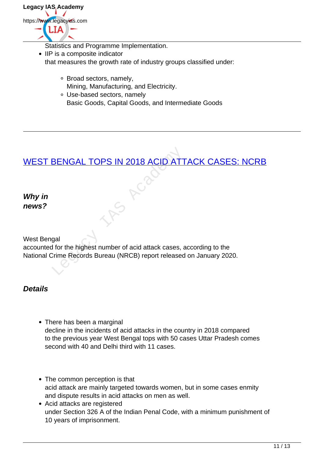

- Statistics and Programme Implementation.
- IIP is a composite indicator that measures the growth rate of industry groups classified under:
	- Broad sectors, namely, Mining, Manufacturing, and Electricity.
	- Use-based sectors, namely Basic Goods, Capital Goods, and Intermediate Goods

# WEST BENGAL TOPS IN 2018 ACID ATTACK CASES: NCRB

**Why in news?**

West Bengal

accounted for the highest number of acid attack cases, according to the National Crime Records Bureau (NRCB) report released on January 2020. BENGAL TOPS IN 2018 ACID ATT

**Details**

- There has been a marginal decline in the incidents of acid attacks in the country in 2018 compared to the previous year West Bengal tops with 50 cases Uttar Pradesh comes second with 40 and Delhi third with 11 cases.
- The common perception is that acid attack are mainly targeted towards women, but in some cases enmity and dispute results in acid attacks on men as well.
- Acid attacks are registered under Section 326 A of the Indian Penal Code, with a minimum punishment of 10 years of imprisonment.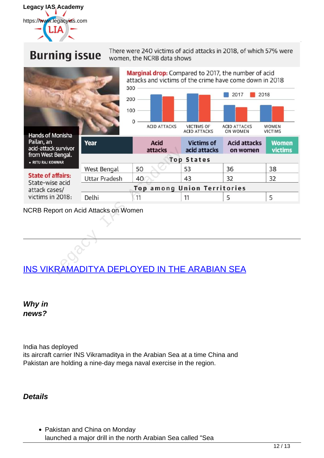

**Burning issue** 

#### There were 240 victims of acid attacks in 2018, of which 57% were women, the NCRB data shows



NCRB Report on Acid Attacks on Women

# INS VIKRAMADITYA DEPLOYED IN THE ARABIAN SEA

**Why in news?**

India has deployed its aircraft carrier INS Vikramaditya in the Arabian Sea at a time China and Pakistan are holding a nine-day mega naval exercise in the region.

**Details**

• Pakistan and China on Monday launched a major drill in the north Arabian Sea called "Sea